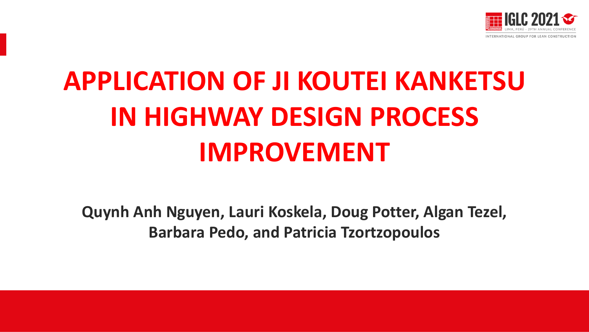

# **APPLICATION OF JI KOUTEI KANKETSU IN HIGHWAY DESIGN PROCESS IMPROVEMENT**

**Quynh Anh Nguyen, Lauri Koskela, Doug Potter, Algan Tezel, Barbara Pedo, and Patricia Tzortzopoulos**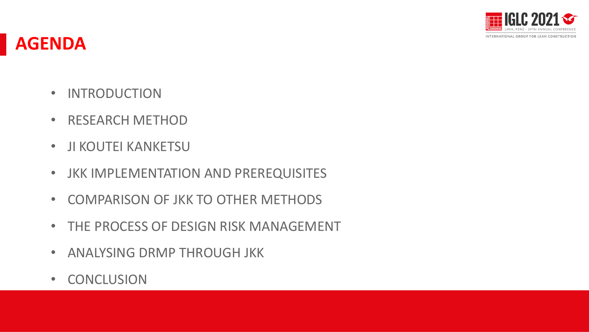

### **AGENDA**

- INTRODUCTION
- RESEARCH METHOD
- JI KOUTEI KANKETSU
- JKK IMPLEMENTATION AND PREREQUISITES
- COMPARISON OF JKK TO OTHER METHODS
- THE PROCESS OF DESIGN RISK MANAGEMENT
- ANALYSING DRMP THROUGH JKK
- CONCLUSION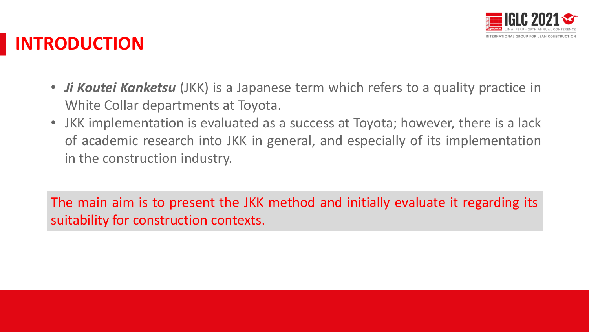

### **INTRODUCTION**

- *Ji Koutei Kanketsu* (JKK) is a Japanese term which refers to a quality practice in White Collar departments at Toyota.
- JKK implementation is evaluated as a success at Toyota; however, there is a lack of academic research into JKK in general, and especially of its implementation in the construction industry.

The main aim is to present the JKK method and initially evaluate it regarding its suitability for construction contexts.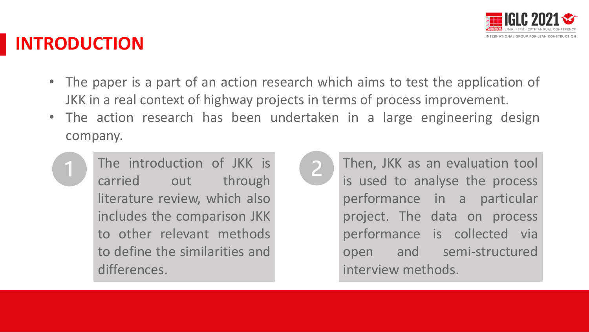

### **INTRODUCTION**

- The paper is a part of an action research which aims to test the application of JKK in a real context of highway projects in terms of process improvement.
- The action research has been undertaken in a large engineering design company.



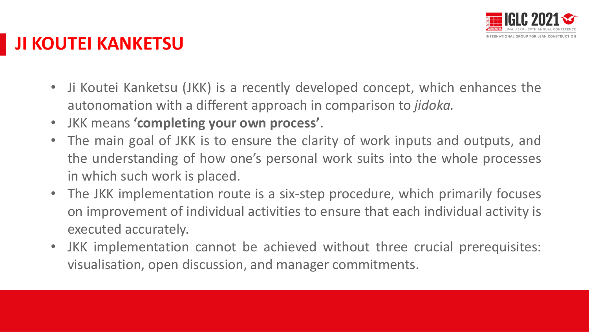

### **JI KOUTEI KANKETSU**

- Ji Koutei Kanketsu (JKK) is a recently developed concept, which enhances the autonomation with a different approach in comparison to *jidoka.*
- JKK means **'completing your own process'**.
- The main goal of JKK is to ensure the clarity of work inputs and outputs, and the understanding of how one's personal work suits into the whole processes in which such work is placed.
- The JKK implementation route is a six-step procedure, which primarily focuses on improvement of individual activities to ensure that each individual activity is executed accurately.
- JKK implementation cannot be achieved without three crucial prerequisites: visualisation, open discussion, and manager commitments.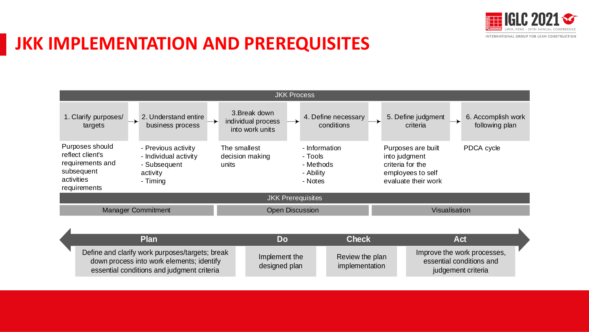

### **JKK IMPLEMENTATION AND PREREQUISITES**

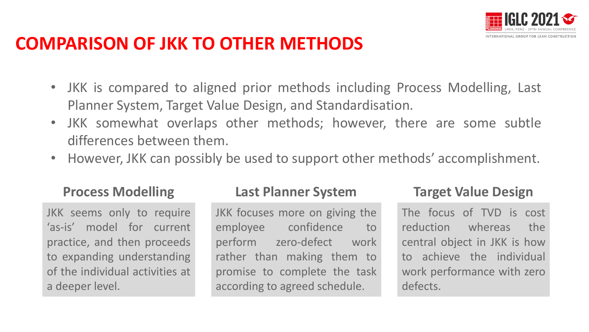

### **COMPARISON OF JKK TO OTHER METHODS**

- JKK is compared to aligned prior methods including Process Modelling, Last Planner System, Target Value Design, and Standardisation.
- JKK somewhat overlaps other methods; however, there are some subtle differences between them.
- However, JKK can possibly be used to support other methods' accomplishment.

JKK seems only to require 'as-is' model for current practice, and then proceeds to expanding understanding of the individual activities at a deeper level.

### **Process Modelling Last Planner System Target Value Design**

JKK focuses more on giving the employee confidence to perform zero-defect work rather than making them to promise to complete the task according to agreed schedule.

The focus of TVD is cost reduction whereas the central object in JKK is how to achieve the individual work performance with zero defects.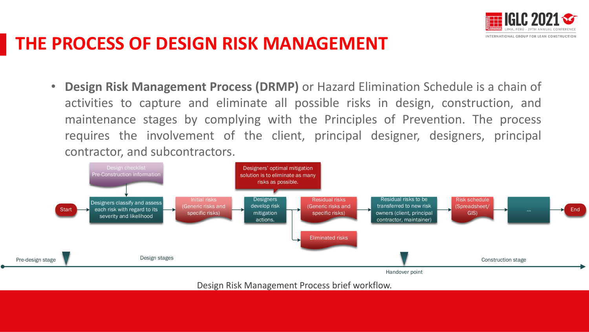



• **Design Risk Management Process (DRMP)** or Hazard Elimination Schedule is a chain of activities to capture and eliminate all possible risks in design, construction, and maintenance stages by complying with the Principles of Prevention. The process requires the involvement of the client, principal designer, designers, principal contractor, and subcontractors.



Design Risk Management Process brief workflow.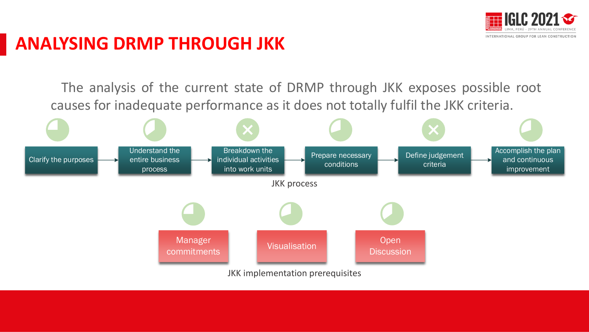

### **ANALYSING DRMP THROUGH JKK**

The analysis of the current state of DRMP through JKK exposes possible root causes for inadequate performance as it does not totally fulfil the JKK criteria.

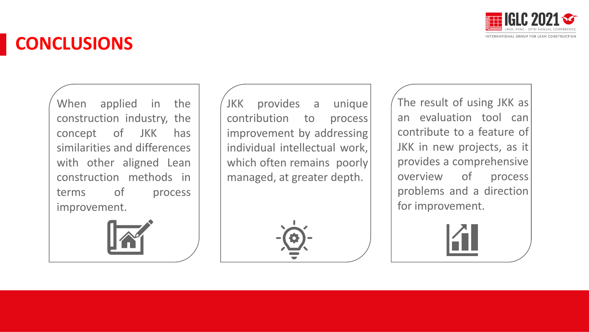

### **CONCLUSIONS**

When applied in the construction industry, the concept of JKK has similarities and differences with other aligned Lean construction methods in terms of process improvement.



JKK provides a unique contribution to process improvement by addressing individual intellectual work, which often remains poorly managed, at greater depth.

The result of using JKK as an evaluation tool can contribute to a feature of JKK in new projects, as it provides a comprehensive overview of process problems and a direction for improvement.